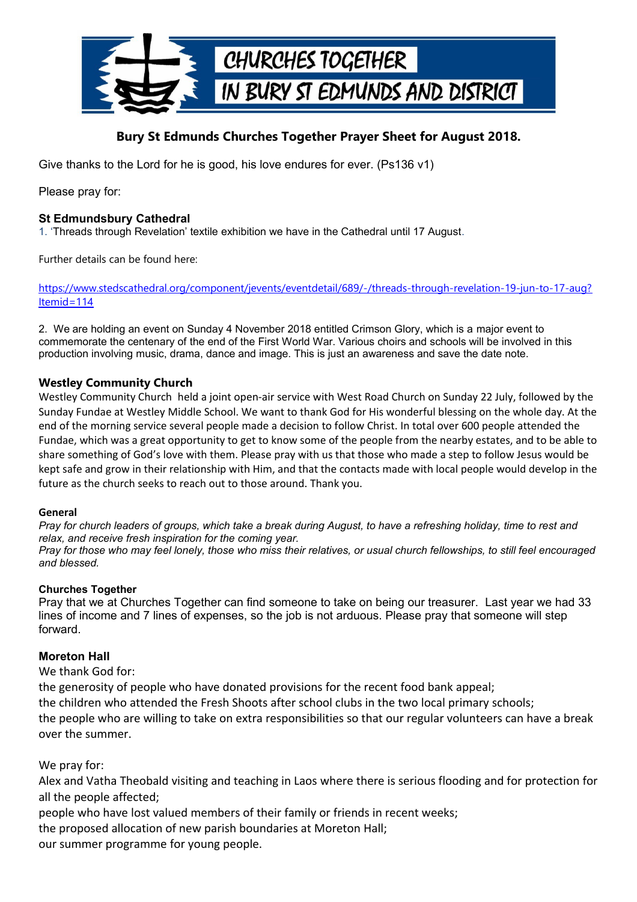

# **Bury St Edmunds Churches Together Prayer Sheet for August 2018.**

Give thanks to the Lord for he is good, his love endures for ever. (Ps136 v1)

Please pray for:

## **St Edmundsbury Cathedral**

1. 'Threads through Revelation' textile exhibition we have in the Cathedral until 17 August.

Further details can be found here:

[https://www.stedscathedral.org/component/jevents/eventdetail/689/-/threads-through-revelation-19-jun-to-17-aug?](https://www.stedscathedral.org/component/jevents/eventdetail/689/-/threads-through-revelation-19-jun-to-17-aug?Itemid=114) [Itemid=114](https://www.stedscathedral.org/component/jevents/eventdetail/689/-/threads-through-revelation-19-jun-to-17-aug?Itemid=114)

2. We are holding an event on Sunday 4 November 2018 entitled Crimson Glory, which is a major event to commemorate the centenary of the end of the First World War. Various choirs and schools will be involved in this production involving music, drama, dance and image. This is just an awareness and save the date note.

## **Westley Community Church**

Westley Community Church held a joint open-air service with West Road Church on Sunday 22 July, followed by the Sunday Fundae at Westley Middle School. We want to thank God for His wonderful blessing on the whole day. At the end of the morning service several people made a decision to follow Christ. In total over 600 people attended the Fundae, which was a great opportunity to get to know some of the people from the nearby estates, and to be able to share something of God's love with them. Please pray with us that those who made a step to follow Jesus would be kept safe and grow in their relationship with Him, and that the contacts made with local people would develop in the future as the church seeks to reach out to those around. Thank you.

#### **General**

*Pray for church leaders of groups, which take a break during August, to have a refreshing holiday, time to rest and relax, and receive fresh inspiration for the coming year. Pray for those who may feel lonely, those who miss their relatives, or usual church fellowships, to still feel encouraged and blessed.*

## **Churches Together**

Pray that we at Churches Together can find someone to take on being our treasurer. Last year we had 33 lines of income and 7 lines of expenses, so the job is not arduous. Please pray that someone will step forward.

## **Moreton Hall**

We thank God for:

the generosity of people who have donated provisions for the recent food bank appeal; the children who attended the Fresh Shoots after school clubs in the two local primary schools; the people who are willing to take on extra responsibilities so that our regular volunteers can have a break over the summer.

We pray for:

Alex and Vatha Theobald visiting and teaching in Laos where there is serious flooding and for protection for all the people affected;

people who have lost valued members of their family or friends in recent weeks;

the proposed allocation of new parish boundaries at Moreton Hall;

our summer programme for young people.